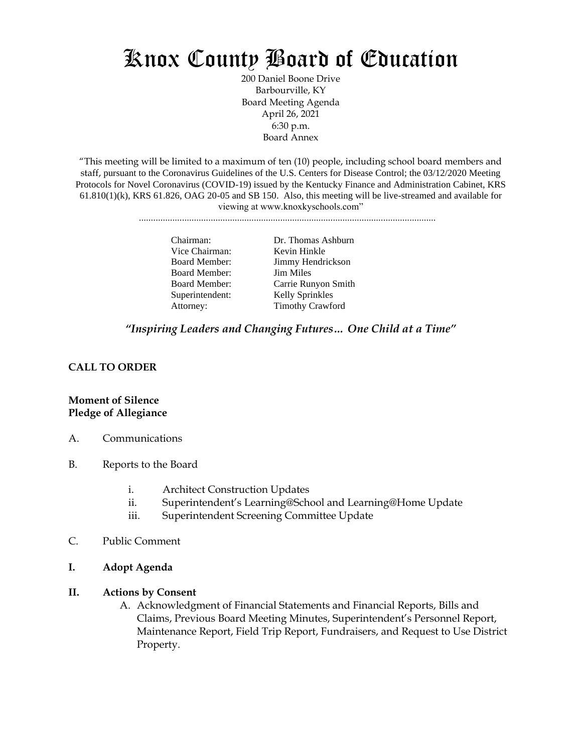# Knox County Board of Education

200 Daniel Boone Drive Barbourville, KY Board Meeting Agenda April 26, 2021 6:30 p.m. Board Annex

"This meeting will be limited to a maximum of ten (10) people, including school board members and staff, pursuant to the Coronavirus Guidelines of the U.S. Centers for Disease Control; the 03/12/2020 Meeting Protocols for Novel Coronavirus (COVID-19) issued by the Kentucky Finance and Administration Cabinet, KRS  $61.810(1)(k)$ , KRS  $61.826$ , OAG  $20-05$  and SB 150. Also, this meeting will be live-streamed and available for viewing at www.knoxkyschools.com"

............................................................................................................................

Vice Chairman: Kevin Hinkle Board Member: Jim Miles Superintendent: Kelly Sprinkles

Chairman: Dr. Thomas Ashburn Board Member: Jimmy Hendrickson Board Member: Carrie Runyon Smith Attorney: Timothy Crawford

## *"Inspiring Leaders and Changing Futures… One Child at a Time"*

#### **CALL TO ORDER**

#### **Moment of Silence Pledge of Allegiance**

- A. Communications
- B. Reports to the Board
	- i. Architect Construction Updates
	- ii. Superintendent's Learning@School and Learning@Home Update
	- iii. Superintendent Screening Committee Update
- C. Public Comment
- **I. Adopt Agenda**
- **II. Actions by Consent**
	- A. Acknowledgment of Financial Statements and Financial Reports, Bills and Claims, Previous Board Meeting Minutes, Superintendent's Personnel Report, Maintenance Report, Field Trip Report, Fundraisers, and Request to Use District Property.